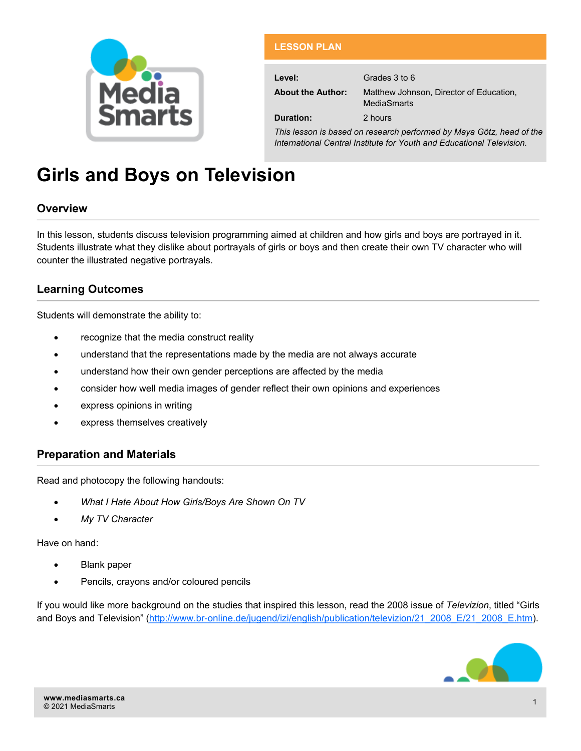

## **LESSON PLAN**

**Level:** Grades 3 to 6

**About the Author:** Matthew Johnson, Director of Education,

**MediaSmarts** 

**Duration:** 2 hours

*This lesson is based on research performed by Maya Götz, head of the International Central Institute for Youth and Educational Television.*

# **Girls and Boys on Television**

## **Overview**

In this lesson, students discuss television programming aimed at children and how girls and boys are portrayed in it. Students illustrate what they dislike about portrayals of girls or boys and then create their own TV character who will counter the illustrated negative portrayals.

# **Learning Outcomes**

Students will demonstrate the ability to:

- recognize that the media construct reality
- understand that the representations made by the media are not always accurate
- understand how their own gender perceptions are affected by the media
- consider how well media images of gender reflect their own opinions and experiences
- express opinions in writing
- express themselves creatively

## **Preparation and Materials**

Read and photocopy the following handouts:

- *What I Hate About How Girls/Boys Are Shown On TV*
- *My TV Character*

Have on hand:

- Blank paper
- Pencils, crayons and/or coloured pencils

If you would like more background on the studies that inspired this lesson, read the 2008 issue of *Televizion*, titled "Girls and Boys and Television" (http://www.br-[online.de/jugend/izi/english/publication/televizion/21\\_2008\\_E/21\\_2008\\_E.htm\).](http://www.br-online.de/jugend/izi/english/publication/televizion/21_2008_E/21_2008_E.htm)

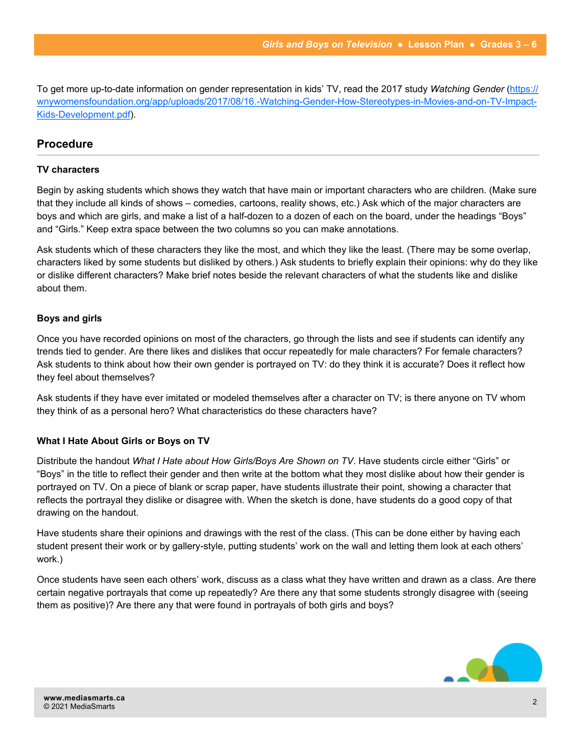To get more up-to-date information on gender representation in kids' TV, read the 2017 study *Watching Gender* ([https://](https://wnywomensfoundation.org/app/uploads/2017/08/16.-Watching-Gender-How-Stereotypes-in-Movies-and-on-TV-Impact-Kids-Development.pdf) [wnywomensfoundation.org/app/uploads/2017/08/16.](https://wnywomensfoundation.org/app/uploads/2017/08/16.-Watching-Gender-How-Stereotypes-in-Movies-and-on-TV-Impact-Kids-Development.pdf)-Watching-Gender-How-Stereotypes-in-Movies-and-on-TV-Impact-Kids-[Development.pdf\).](https://wnywomensfoundation.org/app/uploads/2017/08/16.-Watching-Gender-How-Stereotypes-in-Movies-and-on-TV-Impact-Kids-Development.pdf)

## **Procedure**

#### **TV characters**

Begin by asking students which shows they watch that have main or important characters who are children. (Make sure that they include all kinds of shows – comedies, cartoons, reality shows, etc.) Ask which of the major characters are boys and which are girls, and make a list of a half-dozen to a dozen of each on the board, under the headings "Boys" and "Girls." Keep extra space between the two columns so you can make annotations.

Ask students which of these characters they like the most, and which they like the least. (There may be some overlap, characters liked by some students but disliked by others.) Ask students to briefly explain their opinions: why do they like or dislike different characters? Make brief notes beside the relevant characters of what the students like and dislike about them.

#### **Boys and girls**

Once you have recorded opinions on most of the characters, go through the lists and see if students can identify any trends tied to gender. Are there likes and dislikes that occur repeatedly for male characters? For female characters? Ask students to think about how their own gender is portrayed on TV: do they think it is accurate? Does it reflect how they feel about themselves?

Ask students if they have ever imitated or modeled themselves after a character on TV; is there anyone on TV whom they think of as a personal hero? What characteristics do these characters have?

### **What I Hate About Girls or Boys on TV**

Distribute the handout *What I Hate about How Girls/Boys Are Shown on TV*. Have students circle either "Girls" or "Boys" in the title to reflect their gender and then write at the bottom what they most dislike about how their gender is portrayed on TV. On a piece of blank or scrap paper, have students illustrate their point, showing a character that reflects the portrayal they dislike or disagree with. When the sketch is done, have students do a good copy of that drawing on the handout.

Have students share their opinions and drawings with the rest of the class. (This can be done either by having each student present their work or by gallery-style, putting students' work on the wall and letting them look at each others' work.)

Once students have seen each others' work, discuss as a class what they have written and drawn as a class. Are there certain negative portrayals that come up repeatedly? Are there any that some students strongly disagree with (seeing them as positive)? Are there any that were found in portrayals of both girls and boys?

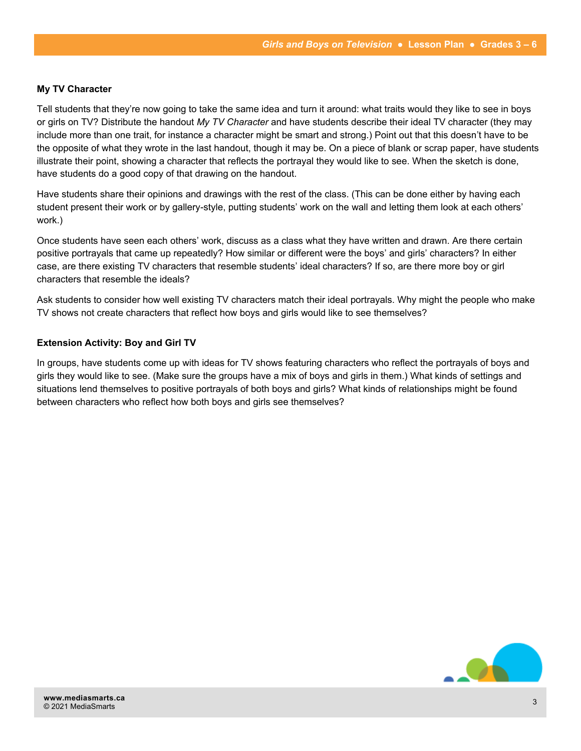#### **My TV Character**

Tell students that they're now going to take the same idea and turn it around: what traits would they like to see in boys or girls on TV? Distribute the handout *My TV Character* and have students describe their ideal TV character (they may include more than one trait, for instance a character might be smart and strong.) Point out that this doesn't have to be the opposite of what they wrote in the last handout, though it may be. On a piece of blank or scrap paper, have students illustrate their point, showing a character that reflects the portrayal they would like to see. When the sketch is done, have students do a good copy of that drawing on the handout.

Have students share their opinions and drawings with the rest of the class. (This can be done either by having each student present their work or by gallery-style, putting students' work on the wall and letting them look at each others' work.)

Once students have seen each others' work, discuss as a class what they have written and drawn. Are there certain positive portrayals that came up repeatedly? How similar or different were the boys' and girls' characters? In either case, are there existing TV characters that resemble students' ideal characters? If so, are there more boy or girl characters that resemble the ideals?

Ask students to consider how well existing TV characters match their ideal portrayals. Why might the people who make TV shows not create characters that reflect how boys and girls would like to see themselves?

#### **Extension Activity: Boy and Girl TV**

In groups, have students come up with ideas for TV shows featuring characters who reflect the portrayals of boys and girls they would like to see. (Make sure the groups have a mix of boys and girls in them.) What kinds of settings and situations lend themselves to positive portrayals of both boys and girls? What kinds of relationships might be found between characters who reflect how both boys and girls see themselves?

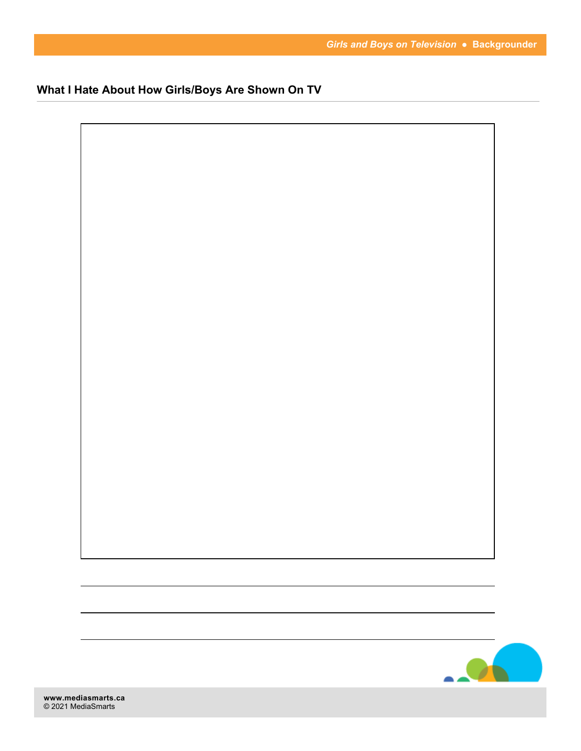**What I Hate About How Girls/Boys Are Shown On TV**